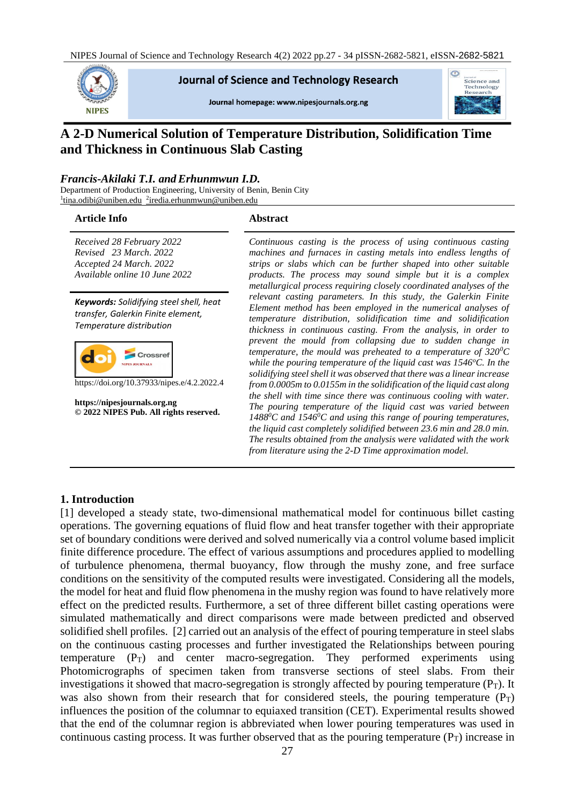

#### **Journal of Science and Technology Research**

Journal homepage: www.nipesjournals.org.ng



# **A 2-D Numerical Solution of Temperature Distribution, Solidification Time and Thickness in Continuous Slab Casting**

#### *Francis-Akilaki T.I. andErhunmwun I.D.*

Department of Production Engineering, University of Benin, Benin City <sup>1</sup>[tina.odibi@uniben.edu](mailto:1tina.odibi@uniben.edu) <sup>2</sup>[iredia.erhunmwun@uniben.edu](mailto:2iredia.erhunmwun@uniben.edu)

#### **Article Info Abstract**

*Received 28 February 2022 Revised 23 March. 2022 Accepted 24 March. 2022 Available online 10 June 2022*

*Keywords: Solidifying steel shell, heat transfer, Galerkin Finite element, Temperature distribution*



https://doi.org/10.37933/nipes.e/4.2.2022.4

**https://nipesjournals.org.ng © 2022 NIPES Pub. All rights reserved.**

*Continuous casting is the process of using continuous casting machines and furnaces in casting metals into endless lengths of strips or slabs which can be further shaped into other suitable products. The process may sound simple but it is a complex metallurgical process requiring closely coordinated analyses of the relevant casting parameters. In this study, the Galerkin Finite Element method has been employed in the numerical analyses of temperature distribution, solidification time and solidification thickness in continuous casting. From the analysis, in order to prevent the mould from collapsing due to sudden change in temperature, the mould was preheated to a temperature of 320<sup>0</sup>C while the pouring temperature of the liquid cast was 1546<sup>o</sup>C. In the solidifying steel shell it was observed that there was a linear increase from 0.0005m to 0.0155m in the solidification of the liquid cast along the shell with time since there was continuous cooling with water. The pouring temperature of the liquid cast was varied between 1488<sup>0</sup>C and 1546<sup>0</sup>C and using this range of pouring temperatures, the liquid cast completely solidified between 23.6 min and 28.0 min. The results obtained from the analysis were validated with the work from literature using the 2-D Time approximation model.*

#### **1. Introduction**

[1] developed a steady state, two-dimensional mathematical model for continuous billet casting operations. The governing equations of fluid flow and heat transfer together with their appropriate set of boundary conditions were derived and solved numerically via a control volume based implicit finite difference procedure. The effect of various assumptions and procedures applied to modelling of turbulence phenomena, thermal buoyancy, flow through the mushy zone, and free surface conditions on the sensitivity of the computed results were investigated. Considering all the models, the model for heat and fluid flow phenomena in the mushy region was found to have relatively more effect on the predicted results. Furthermore, a set of three different billet casting operations were simulated mathematically and direct comparisons were made between predicted and observed solidified shell profiles. [2] carried out an analysis of the effect of pouring temperature in steel slabs on the continuous casting processes and further investigated the Relationships between pouring temperature  $(P_T)$  and center macro-segregation. They performed experiments using Photomicrographs of specimen taken from transverse sections of steel slabs. From their investigations it showed that macro-segregation is strongly affected by pouring temperature  $(P_T)$ . It was also shown from their research that for considered steels, the pouring temperature  $(P_T)$ influences the position of the columnar to equiaxed transition (CET). Experimental results showed that the end of the columnar region is abbreviated when lower pouring temperatures was used in continuous casting process. It was further observed that as the pouring temperature  $(P_T)$  increase in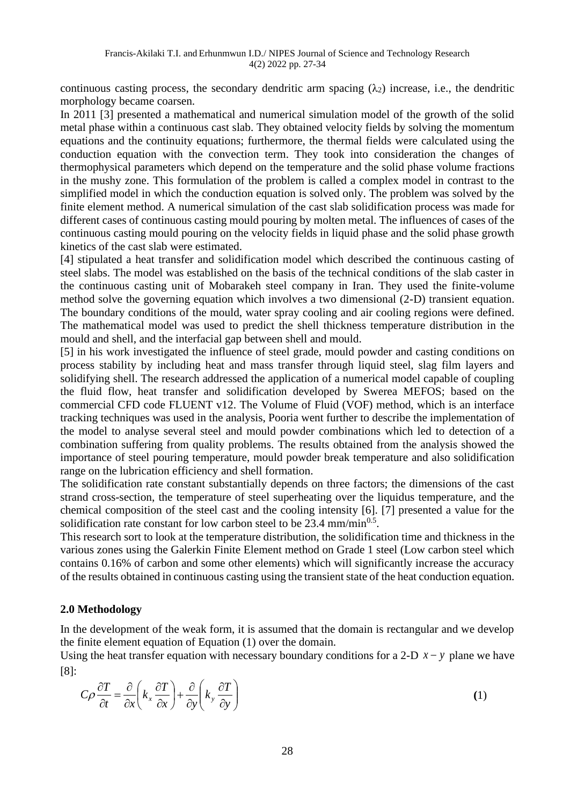continuous casting process, the secondary dendritic arm spacing  $(\lambda_2)$  increase, i.e., the dendritic morphology became coarsen.

In 2011 [3] presented a mathematical and numerical simulation model of the growth of the solid metal phase within a continuous cast slab. They obtained velocity fields by solving the momentum equations and the continuity equations; furthermore, the thermal fields were calculated using the conduction equation with the convection term. They took into consideration the changes of thermophysical parameters which depend on the temperature and the solid phase volume fractions in the mushy zone. This formulation of the problem is called a complex model in contrast to the simplified model in which the conduction equation is solved only. The problem was solved by the finite element method. A numerical simulation of the cast slab solidification process was made for different cases of continuous casting mould pouring by molten metal. The influences of cases of the continuous casting mould pouring on the velocity fields in liquid phase and the solid phase growth kinetics of the cast slab were estimated.

[4] stipulated a heat transfer and solidification model which described the continuous casting of steel slabs. The model was established on the basis of the technical conditions of the slab caster in the continuous casting unit of Mobarakeh steel company in Iran. They used the finite-volume method solve the governing equation which involves a two dimensional (2-D) transient equation. The boundary conditions of the mould, water spray cooling and air cooling regions were defined. The mathematical model was used to predict the shell thickness temperature distribution in the mould and shell, and the interfacial gap between shell and mould.

[5] in his work investigated the influence of steel grade, mould powder and casting conditions on process stability by including heat and mass transfer through liquid steel, slag film layers and solidifying shell. The research addressed the application of a numerical model capable of coupling the fluid flow, heat transfer and solidification developed by Swerea MEFOS; based on the commercial CFD code FLUENT v12. The Volume of Fluid (VOF) method, which is an interface tracking techniques was used in the analysis, Pooria went further to describe the implementation of the model to analyse several steel and mould powder combinations which led to detection of a combination suffering from quality problems. The results obtained from the analysis showed the importance of steel pouring temperature, mould powder break temperature and also solidification range on the lubrication efficiency and shell formation.

The solidification rate constant substantially depends on three factors; the dimensions of the cast strand cross-section, the temperature of steel superheating over the liquidus temperature, and the chemical composition of the steel cast and the cooling intensity [6]. [7] presented a value for the solidification rate constant for low carbon steel to be 23.4 mm/min $^{0.5}$ .

This research sort to look at the temperature distribution, the solidification time and thickness in the various zones using the Galerkin Finite Element method on Grade 1 steel (Low carbon steel which contains 0.16% of carbon and some other elements) which will significantly increase the accuracy of the results obtained in continuous casting using the transient state of the heat conduction equation.

## **2.0 Methodology**

In the development of the weak form, it is assumed that the domain is rectangular and we develop the finite element equation of Equation (1) over the domain.

Using the heat transfer equation with necessary boundary conditions for a 2-D  $x - y$  plane we have [8]:

$$
C\rho \frac{\partial T}{\partial t} = \frac{\partial}{\partial x} \left( k_x \frac{\partial T}{\partial x} \right) + \frac{\partial}{\partial y} \left( k_y \frac{\partial T}{\partial y} \right)
$$
(1)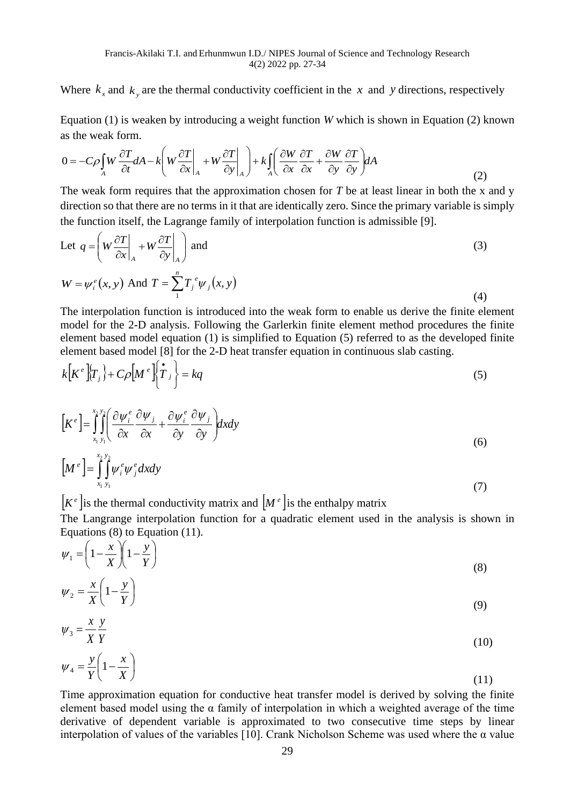Where  $k_x$  and  $k_y$  are the thermal conductivity coefficient in the x and y directions, respectively

Equation (1) is weaken by introducing a weight function *W* which is shown in Equation (2) known as the weak form.

as the weak form.  
\n
$$
0 = -C\rho \int_{A} W \frac{\partial T}{\partial t} dA - k \left( W \frac{\partial T}{\partial x} \Big|_{A} + W \frac{\partial T}{\partial y} \Big|_{A} \right) + k \int_{A} \left( \frac{\partial W}{\partial x} \frac{\partial T}{\partial x} + \frac{\partial W}{\partial y} \frac{\partial T}{\partial y} \right) dA
$$
\n(2)

The weak form requires that the approximation chosen for *T* be at least linear in both the x and y direction so that there are no terms in it that are identically zero. Since the primary variable is simply the function itself, the Lagrange family of interpolation function is admissible [9].

Let 
$$
q = \left( W \frac{\partial T}{\partial x} \Big|_A + W \frac{\partial T}{\partial y} \Big|_A \right)
$$
 and  
\n
$$
W = \psi_i^e(x, y) \text{ And } T = \sum_{i=1}^{n} T_j^e \psi_j(x, y)
$$
\n(4)

The interpolation function is introduced into the weak form to enable us derive the finite element model for the 2-D analysis. Following the Garlerkin finite element method procedures the finite element based model equation (1) is simplified to Equation (5) referred to as the developed finite element based model [8] for the 2-D heat transfer equation in continuous slab casting.

$$
k[K^e][T_j] + C\rho[M^e][\dot{T}_j] = kq
$$
\n(5)

$$
\left[K^{e}\right] = \int_{x_{1}y_{1}}^{x_{2}y_{2}} \left(\frac{\partial \psi_{i}^{e}}{\partial x} + \frac{\partial \psi_{i}}{\partial x} + \frac{\partial \psi_{i}^{e}}{\partial y} \frac{\partial \psi_{j}}{\partial y}\right) dxdy
$$
\n(6)

$$
\left[M^e\right] = \int_{x_1}^{x_2} \int_{y_1}^{y_2} \psi_j^e dx dy \tag{7}
$$

 $|K^e|$  is the thermal conductivity matrix and  $|M^e|$  is the enthalpy matrix

The Langrange interpolation function for a quadratic element used in the analysis is shown in Equations (8) to Equation (11).

$$
\psi_1 = \left(1 - \frac{x}{X}\right)\left(1 - \frac{y}{Y}\right) \tag{8}
$$

$$
\psi_2 = \frac{x}{X} \left( 1 - \frac{y}{Y} \right) \tag{9}
$$

$$
\psi_3 = \frac{x}{X} \frac{y}{Y} \tag{10}
$$

$$
\psi_4 = \frac{y}{Y} \left( 1 - \frac{x}{X} \right) \tag{11}
$$

Time approximation equation for conductive heat transfer model is derived by solving the finite element based model using the  $\alpha$  family of interpolation in which a weighted average of the time derivative of dependent variable is approximated to two consecutive time steps by linear interpolation of values of the variables [10]. Crank Nicholson Scheme was used where the  $\alpha$  value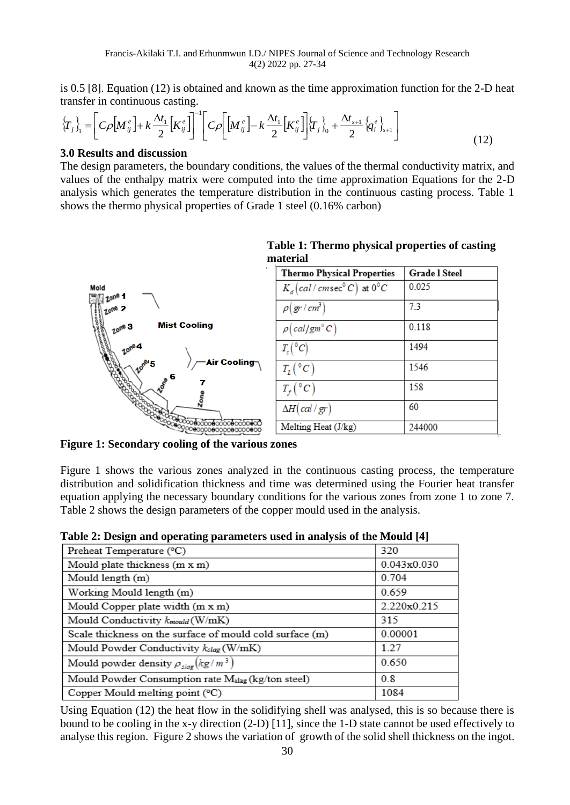is 0.5 [8]. Equation (12) is obtained and known as the time approximation function for the 2-D heat transfer in continuous casting.

$$
\left\{T_{j}\right\}_{1} = \left[C\rho\left[M_{ij}^{e}\right] + k\frac{\Delta t_{1}}{2}\left[K_{ij}^{e}\right]\right]^{-1}\left[C\rho\left[\left[M_{ij}^{e}\right] - k\frac{\Delta t_{1}}{2}\left[K_{ij}^{e}\right]\right]\left\{T_{j}\right\}_{0} + \frac{\Delta t_{s+1}}{2}\left\{q_{i}^{e}\right\}_{s+1}\right] \tag{12}
$$

### **3.0 Results and discussion**

The design parameters, the boundary conditions, the values of the thermal conductivity matrix, and values of the enthalpy matrix were computed into the time approximation Equations for the 2-D analysis which generates the temperature distribution in the continuous casting process. Table 1 shows the thermo physical properties of Grade 1 steel (0.16% carbon)



## **Table 1: Thermo physical properties of casting material**

**Figure 1: Secondary cooling of the various zones** 

Figure 1 shows the various zones analyzed in the continuous casting process, the temperature distribution and solidification thickness and time was determined using the Fourier heat transfer equation applying the necessary boundary conditions for the various zones from zone 1 to zone 7. Table 2 shows the design parameters of the copper mould used in the analysis.

|  |  |  | Table 2: Design and operating parameters used in analysis of the Mould [4] |
|--|--|--|----------------------------------------------------------------------------|
|  |  |  |                                                                            |

| Preheat Temperature (°C)                                       | 320         |
|----------------------------------------------------------------|-------------|
| Mould plate thickness (m x m)                                  | 0.043x0.030 |
| Mould length (m)                                               | 0.704       |
| Working Mould length (m)                                       | 0.659       |
| Mould Copper plate width (m x m)                               | 2.220x0.215 |
| Mould Conductivity $k_{\text{mould}}(W/mK)$                    | 315         |
| Scale thickness on the surface of mould cold surface (m)       | 0.00001     |
| Mould Powder Conductivity $k_{slag}$ (W/mK)                    | 1.27        |
| Mould powder density $\rho_{\text{slag}}(kg/m^3)$              | 0.650       |
| Mould Powder Consumption rate M <sub>slag</sub> (kg/ton steel) | 0.8         |
| Copper Mould melting point $({}^{\circ}C)$                     | 1084        |

Using Equation (12) the heat flow in the solidifying shell was analysed, this is so because there is bound to be cooling in the x-y direction (2-D) [11], since the 1-D state cannot be used effectively to analyse this region. Figure 2 shows the variation of growth of the solid shell thickness on the ingot.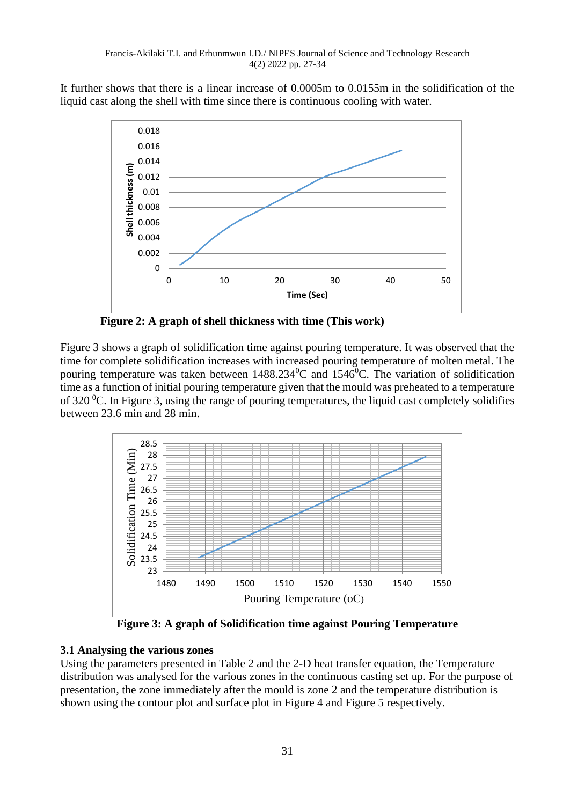It further shows that there is a linear increase of 0.0005m to 0.0155m in the solidification of the liquid cast along the shell with time since there is continuous cooling with water.



 **Figure 2: A graph of shell thickness with time (This work)**

Figure 3 shows a graph of solidification time against pouring temperature. It was observed that the time for complete solidification increases with increased pouring temperature of molten metal. The pouring temperature was taken between  $1488.234^{\circ}$ C and  $1546^{\circ}$ C. The variation of solidification time as a function of initial pouring temperature given that the mould was preheated to a temperature of 320  $^{\circ}$ C. In Figure 3, using the range of pouring temperatures, the liquid cast completely solidifies between 23.6 min and 28 min.



**Figure 3: A graph of Solidification time against Pouring Temperature**

# **3.1 Analysing the various zones**

Using the parameters presented in Table 2 and the 2-D heat transfer equation, the Temperature distribution was analysed for the various zones in the continuous casting set up. For the purpose of presentation, the zone immediately after the mould is zone 2 and the temperature distribution is shown using the contour plot and surface plot in Figure 4 and Figure 5 respectively.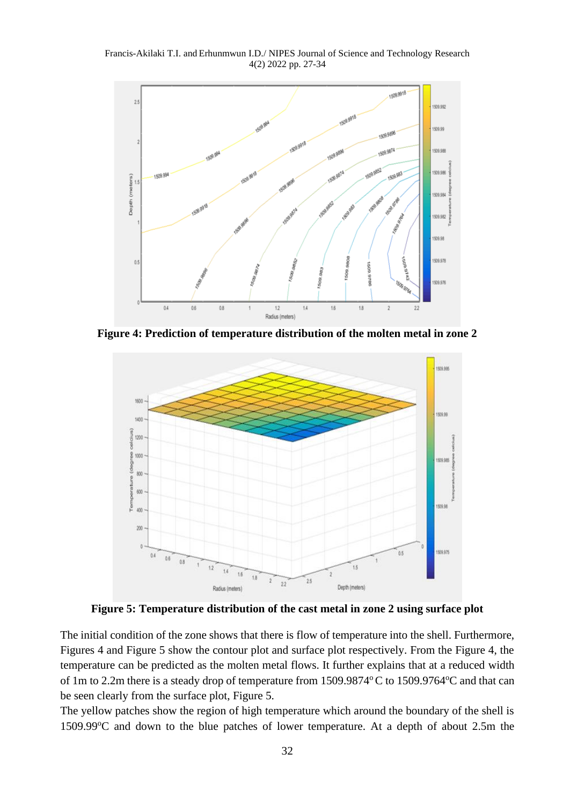Francis-Akilaki T.I. and Erhunmwun I.D./ NIPES Journal of Science and Technology Research 4(2) 2022 pp. 27-34



**Figure 4: Prediction of temperature distribution of the molten metal in zone 2**



**Figure 5: Temperature distribution of the cast metal in zone 2 using surface plot**

The initial condition of the zone shows that there is flow of temperature into the shell. Furthermore, Figures 4 and Figure 5 show the contour plot and surface plot respectively. From the Figure 4, the temperature can be predicted as the molten metal flows. It further explains that at a reduced width of 1m to 2.2m there is a steady drop of temperature from  $1509.9874^{\circ}$ C to  $1509.9764^{\circ}$ C and that can be seen clearly from the surface plot, Figure 5.

The yellow patches show the region of high temperature which around the boundary of the shell is  $1509.99^{\circ}$ C and down to the blue patches of lower temperature. At a depth of about 2.5m the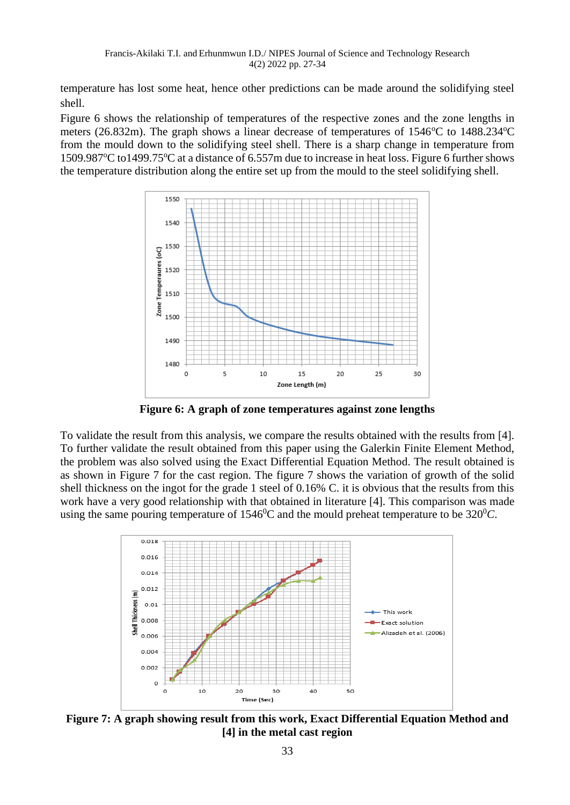temperature has lost some heat, hence other predictions can be made around the solidifying steel shell.

Figure 6 shows the relationship of temperatures of the respective zones and the zone lengths in meters (26.832m). The graph shows a linear decrease of temperatures of  $1546^{\circ}$ C to  $1488.234^{\circ}$ C from the mould down to the solidifying steel shell. There is a sharp change in temperature from 1509.987<sup>o</sup>C to1499.75<sup>o</sup>C at a distance of 6.557m due to increase in heat loss. Figure 6 further shows the temperature distribution along the entire set up from the mould to the steel solidifying shell.



**Figure 6: A graph of zone temperatures against zone lengths**

To validate the result from this analysis, we compare the results obtained with the results from [4]. To further validate the result obtained from this paper using the Galerkin Finite Element Method, the problem was also solved using the Exact Differential Equation Method. The result obtained is as shown in Figure 7 for the cast region. The figure 7 shows the variation of growth of the solid shell thickness on the ingot for the grade 1 steel of 0.16% C. it is obvious that the results from this work have a very good relationship with that obtained in literature [4]. This comparison was made using the same pouring temperature of  $1546^{\circ}$ C and the mould preheat temperature to be  $320^{\circ}$ C.



**Figure 7: A graph showing result from this work, Exact Differential Equation Method and [4] in the metal cast region**